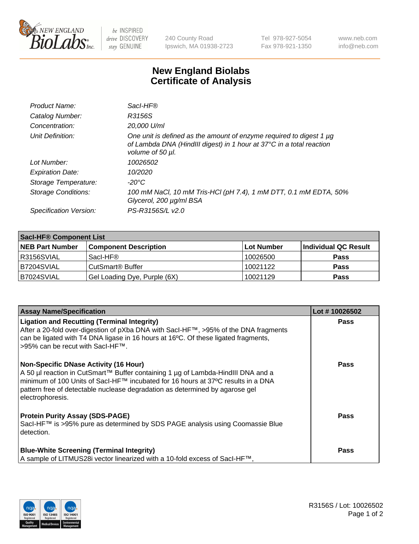

 $be$  INSPIRED drive DISCOVERY stay GENUINE

240 County Road Ipswich, MA 01938-2723 Tel 978-927-5054 Fax 978-921-1350 www.neb.com info@neb.com

## **New England Biolabs Certificate of Analysis**

| Product Name:              | Sacl-HF®                                                                                                                                                        |
|----------------------------|-----------------------------------------------------------------------------------------------------------------------------------------------------------------|
| Catalog Number:            | R3156S                                                                                                                                                          |
| Concentration:             | 20,000 U/ml                                                                                                                                                     |
| Unit Definition:           | One unit is defined as the amount of enzyme required to digest 1 µg<br>of Lambda DNA (HindIII digest) in 1 hour at 37°C in a total reaction<br>volume of 50 µl. |
| Lot Number:                | 10026502                                                                                                                                                        |
| <b>Expiration Date:</b>    | 10/2020                                                                                                                                                         |
| Storage Temperature:       | $-20^{\circ}$ C                                                                                                                                                 |
| <b>Storage Conditions:</b> | 100 mM NaCl, 10 mM Tris-HCl (pH 7.4), 1 mM DTT, 0.1 mM EDTA, 50%<br>Glycerol, 200 µg/ml BSA                                                                     |
| Specification Version:     | PS-R3156S/L v2.0                                                                                                                                                |

| <b>Saci-HF® Component List</b> |                              |            |                      |  |  |
|--------------------------------|------------------------------|------------|----------------------|--|--|
| <b>NEB Part Number</b>         | <b>Component Description</b> | Lot Number | Individual QC Result |  |  |
| I R3156SVIAL                   | Sacl-HF®                     | 10026500   | <b>Pass</b>          |  |  |
| B7204SVIAL                     | CutSmart <sup>®</sup> Buffer | 10021122   | <b>Pass</b>          |  |  |
| IB7024SVIAL                    | Gel Loading Dye, Purple (6X) | 10021129   | <b>Pass</b>          |  |  |

| <b>Assay Name/Specification</b>                                                                                                                                                                                                                                                                                          | Lot #10026502 |
|--------------------------------------------------------------------------------------------------------------------------------------------------------------------------------------------------------------------------------------------------------------------------------------------------------------------------|---------------|
| <b>Ligation and Recutting (Terminal Integrity)</b><br>After a 20-fold over-digestion of pXba DNA with Sacl-HF™, >95% of the DNA fragments<br>can be ligated with T4 DNA ligase in 16 hours at 16°C. Of these ligated fragments,<br>>95% can be recut with SacI-HF™.                                                      | <b>Pass</b>   |
| <b>Non-Specific DNase Activity (16 Hour)</b><br>A 50 µl reaction in CutSmart™ Buffer containing 1 µg of Lambda-HindIII DNA and a<br>minimum of 100 Units of Sacl-HF™ incubated for 16 hours at 37°C results in a DNA<br>pattern free of detectable nuclease degradation as determined by agarose gel<br>electrophoresis. | <b>Pass</b>   |
| <b>Protein Purity Assay (SDS-PAGE)</b><br>SacI-HF™ is >95% pure as determined by SDS PAGE analysis using Coomassie Blue<br>detection.                                                                                                                                                                                    | <b>Pass</b>   |
| <b>Blue-White Screening (Terminal Integrity)</b><br>A sample of LITMUS28i vector linearized with a 10-fold excess of SacI-HF <sup>™</sup> ,                                                                                                                                                                              | <b>Pass</b>   |